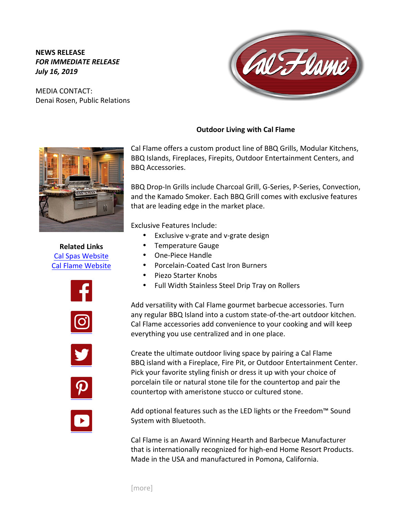## **NEWS RELEASE FOR IMMEDIATE RELEASE** *July 16, 2019*

MEDIA CONTACT: Denai Rosen, Public Relations



**Related Links** Cal Spas Website Cal Flame Website











BBQ Drop-In Grills include Charcoal Grill, G-Series, P-Series, Convection,

- Exclusive v-grate and v-grate design
- Temperature Gauge
- One-Piece Handle

BBQ Accessories. 

- Porcelain-Coated Cast Iron Burners
- Piezo Starter Knobs
- Full Width Stainless Steel Drip Tray on Rollers

Add versatility with Cal Flame gourmet barbecue accessories. Turn any regular BBQ Island into a custom state-of-the-art outdoor kitchen. Cal Flame accessories add convenience to your cooking and will keep everything you use centralized and in one place.

Create the ultimate outdoor living space by pairing a Cal Flame BBQ island with a Fireplace, Fire Pit, or Outdoor Entertainment Center. Pick your favorite styling finish or dress it up with your choice of porcelain tile or natural stone tile for the countertop and pair the countertop with ameristone stucco or cultured stone.

Add optional features such as the LED lights or the Freedom<sup>™</sup> Sound System with Bluetooth.

Cal Flame is an Award Winning Hearth and Barbecue Manufacturer that is internationally recognized for high-end Home Resort Products. Made in the USA and manufactured in Pomona, California.

[more]

## **Outdoor Living with Cal Flame**

Cal Flame offers a custom product line of BBQ Grills, Modular Kitchens, BBQ Islands, Fireplaces, Firepits, Outdoor Entertainment Centers, and